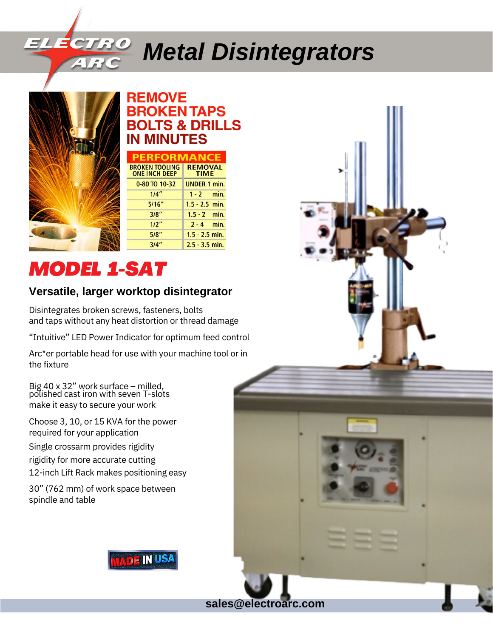# *Metal Disintegrators*

**sales@electroarc.com**



### **REMOVE ROKENTAPS BOLTS & DRILLS IN MINUTES**

| <b>PERFORMANCE</b>                            |                               |  |  |
|-----------------------------------------------|-------------------------------|--|--|
| <b>BROKEN TOOLING</b><br><b>ONE INCH DEEP</b> | <b>REMOVAL</b><br><b>TIME</b> |  |  |
| 0-80 TO 10-32                                 | <b>UNDER 1 min.</b>           |  |  |
| 1/4''                                         | $1 - 2$ min.                  |  |  |
| 5/16''                                        | $1.5 - 2.5$ min.              |  |  |
| 3/8"                                          | $1.5 - 2$ min.                |  |  |
| 1/2"                                          | $2 - 4$ min.                  |  |  |
| 5/8"                                          | $1.5 - 2.5$ min.              |  |  |
| 3/4"                                          | $2.5 - 3.5$ min.              |  |  |

# *MODEL 1-SAT*

## **Versatile, larger worktop disintegrator**

Disintegrates broken screws, fasteners, bolts and taps without any heat distortion or thread damage

"Intuitive" LED Power Indicator for optimum feed control

Arc\*er portable head for use with your machine tool or in the fixture

Big 40 x 32" work surface – milled, polished cast iron with seven T-slots make it easy to secure your work

Choose 3, 10, or 15 KVA for the power required for your application

Single crossarm provides rigidity

rigidity for more accurate cutting

12-inch Lift Rack makes positioning easy

30" (762 mm) of work space between spindle and table